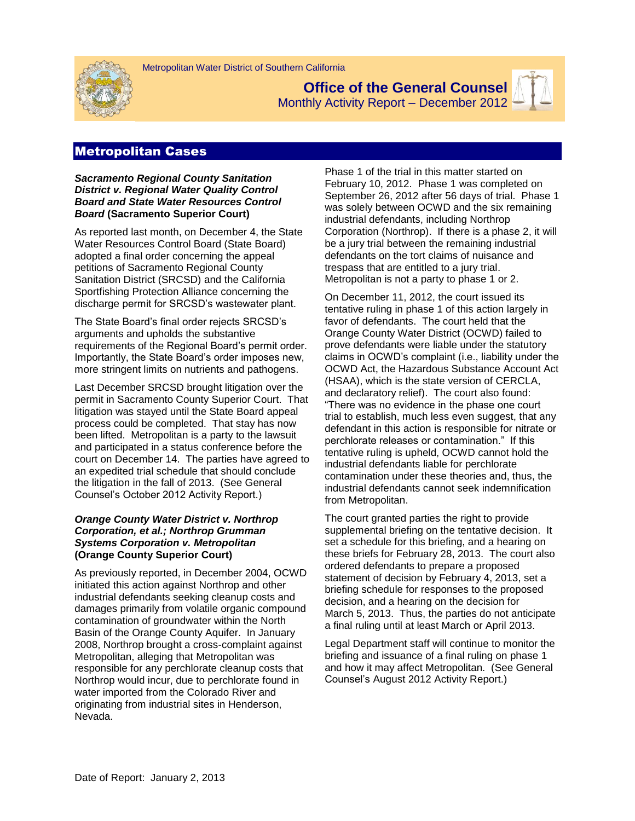

**Office of the General Counsel**



Monthly Activity Report – December 2012

# Metropolitan Cases

*Sacramento Regional County Sanitation District v. Regional Water Quality Control Board and State Water Resources Control Board* **(Sacramento Superior Court)**

As reported last month, on December 4, the State Water Resources Control Board (State Board) adopted a final order concerning the appeal petitions of Sacramento Regional County Sanitation District (SRCSD) and the California Sportfishing Protection Alliance concerning the discharge permit for SRCSD's wastewater plant.

The State Board's final order rejects SRCSD's arguments and upholds the substantive requirements of the Regional Board's permit order. Importantly, the State Board's order imposes new, more stringent limits on nutrients and pathogens.

Last December SRCSD brought litigation over the permit in Sacramento County Superior Court. That litigation was stayed until the State Board appeal process could be completed. That stay has now been lifted. Metropolitan is a party to the lawsuit and participated in a status conference before the court on December 14. The parties have agreed to an expedited trial schedule that should conclude the litigation in the fall of 2013. (See General Counsel's October 2012 Activity Report.)

## *Orange County Water District v. Northrop Corporation, et al.; Northrop Grumman Systems Corporation v. Metropolitan* **(Orange County Superior Court)**

As previously reported, in December 2004, OCWD initiated this action against Northrop and other industrial defendants seeking cleanup costs and damages primarily from volatile organic compound contamination of groundwater within the North Basin of the Orange County Aquifer. In January 2008, Northrop brought a cross-complaint against Metropolitan, alleging that Metropolitan was responsible for any perchlorate cleanup costs that Northrop would incur, due to perchlorate found in water imported from the Colorado River and originating from industrial sites in Henderson, Nevada.

Phase 1 of the trial in this matter started on February 10, 2012. Phase 1 was completed on September 26, 2012 after 56 days of trial. Phase 1 was solely between OCWD and the six remaining industrial defendants, including Northrop Corporation (Northrop). If there is a phase 2, it will be a jury trial between the remaining industrial defendants on the tort claims of nuisance and trespass that are entitled to a jury trial. Metropolitan is not a party to phase 1 or 2.

On December 11, 2012, the court issued its tentative ruling in phase 1 of this action largely in favor of defendants. The court held that the Orange County Water District (OCWD) failed to prove defendants were liable under the statutory claims in OCWD's complaint (i.e., liability under the OCWD Act, the Hazardous Substance Account Act (HSAA), which is the state version of CERCLA, and declaratory relief). The court also found: "There was no evidence in the phase one court trial to establish, much less even suggest, that any defendant in this action is responsible for nitrate or perchlorate releases or contamination." If this tentative ruling is upheld, OCWD cannot hold the industrial defendants liable for perchlorate contamination under these theories and, thus, the industrial defendants cannot seek indemnification from Metropolitan.

The court granted parties the right to provide supplemental briefing on the tentative decision. It set a schedule for this briefing, and a hearing on these briefs for February 28, 2013. The court also ordered defendants to prepare a proposed statement of decision by February 4, 2013, set a briefing schedule for responses to the proposed decision, and a hearing on the decision for March 5, 2013. Thus, the parties do not anticipate a final ruling until at least March or April 2013.

Legal Department staff will continue to monitor the briefing and issuance of a final ruling on phase 1 and how it may affect Metropolitan. (See General Counsel's August 2012 Activity Report.)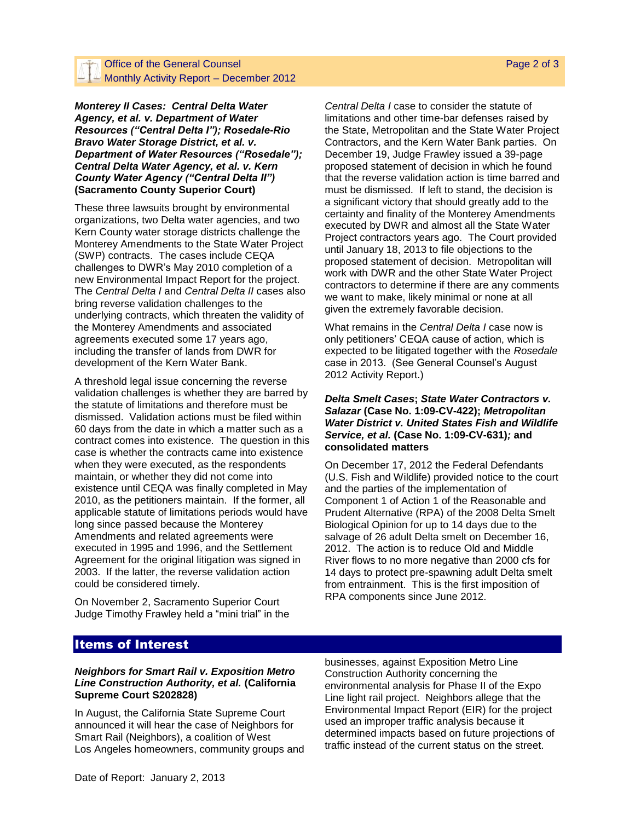## Office of the General Counsel  $\Box$  Monthly Activity Report – December 2012

*Monterey II Cases: Central Delta Water Agency, et al. v. Department of Water Resources ("Central Delta I"); Rosedale-Rio Bravo Water Storage District, et al. v. Department of Water Resources ("Rosedale"); Central Delta Water Agency, et al. v. Kern County Water Agency ("Central Delta II")*  **(Sacramento County Superior Court)**

These three lawsuits brought by environmental organizations, two Delta water agencies, and two Kern County water storage districts challenge the Monterey Amendments to the State Water Project (SWP) contracts. The cases include CEQA challenges to DWR's May 2010 completion of a new Environmental Impact Report for the project. The *Central Delta I* and *Central Delta II* cases also bring reverse validation challenges to the underlying contracts, which threaten the validity of the Monterey Amendments and associated agreements executed some 17 years ago, including the transfer of lands from DWR for development of the Kern Water Bank.

A threshold legal issue concerning the reverse validation challenges is whether they are barred by the statute of limitations and therefore must be dismissed. Validation actions must be filed within 60 days from the date in which a matter such as a contract comes into existence. The question in this case is whether the contracts came into existence when they were executed, as the respondents maintain, or whether they did not come into existence until CEQA was finally completed in May 2010, as the petitioners maintain. If the former, all applicable statute of limitations periods would have long since passed because the Monterey Amendments and related agreements were executed in 1995 and 1996, and the Settlement Agreement for the original litigation was signed in 2003. If the latter, the reverse validation action could be considered timely.

On November 2, Sacramento Superior Court Judge Timothy Frawley held a "mini trial" in the

*Central Delta I* case to consider the statute of limitations and other time-bar defenses raised by the State, Metropolitan and the State Water Project Contractors, and the Kern Water Bank parties. On December 19, Judge Frawley issued a 39-page proposed statement of decision in which he found that the reverse validation action is time barred and must be dismissed. If left to stand, the decision is a significant victory that should greatly add to the certainty and finality of the Monterey Amendments executed by DWR and almost all the State Water Project contractors years ago. The Court provided until January 18, 2013 to file objections to the proposed statement of decision. Metropolitan will work with DWR and the other State Water Project contractors to determine if there are any comments we want to make, likely minimal or none at all given the extremely favorable decision.

What remains in the *Central Delta I* case now is only petitioners' CEQA cause of action, which is expected to be litigated together with the *Rosedale* case in 2013. (See General Counsel's August 2012 Activity Report.)

#### *Delta Smelt Cases***;** *State Water Contractors v. Salazar* **(Case No. 1:09-CV-422);** *Metropolitan Water District v. United States Fish and Wildlife Service, et al.* **(Case No. 1:09-CV-631)***;* **and consolidated matters**

On December 17, 2012 the Federal Defendants (U.S. Fish and Wildlife) provided notice to the court and the parties of the implementation of Component 1 of Action 1 of the Reasonable and Prudent Alternative (RPA) of the 2008 Delta Smelt Biological Opinion for up to 14 days due to the salvage of 26 adult Delta smelt on December 16, 2012. The action is to reduce Old and Middle River flows to no more negative than 2000 cfs for 14 days to protect pre-spawning adult Delta smelt from entrainment. This is the first imposition of RPA components since June 2012.

## Items of Interest

#### *Neighbors for Smart Rail v. Exposition Metro Line Construction Authority, et al.* **(California Supreme Court S202828)**

In August, the California State Supreme Court announced it [will hear the case of Neighbors for](http://appellatecases.courtinfo.ca.gov/search/case/dockets.cfm?dist=0&doc_id=2015235&q=259003&h=259330089)  [Smart Rail \(Neighbors\), a coalition of West](http://appellatecases.courtinfo.ca.gov/search/case/dockets.cfm?dist=0&doc_id=2015235&q=259003&h=259330089)  Los [Angeles homeowners, community groups and](http://appellatecases.courtinfo.ca.gov/search/case/dockets.cfm?dist=0&doc_id=2015235&q=259003&h=259330089)  businesses, [against Exposition Metro Line](http://appellatecases.courtinfo.ca.gov/search/case/dockets.cfm?dist=0&doc_id=2015235&q=259003&h=259330089)  [Construction Authority concerning the](http://appellatecases.courtinfo.ca.gov/search/case/dockets.cfm?dist=0&doc_id=2015235&q=259003&h=259330089)  [environmental analysis for Phase II of the Expo](http://appellatecases.courtinfo.ca.gov/search/case/dockets.cfm?dist=0&doc_id=2015235&q=259003&h=259330089)  [Line](http://appellatecases.courtinfo.ca.gov/search/case/dockets.cfm?dist=0&doc_id=2015235&q=259003&h=259330089) light rail project. Neighbors allege that the Environmental Impact Report (EIR) for the project used an improper traffic analysis because it determined impacts based on future projections of traffic instead of the current status on the street.